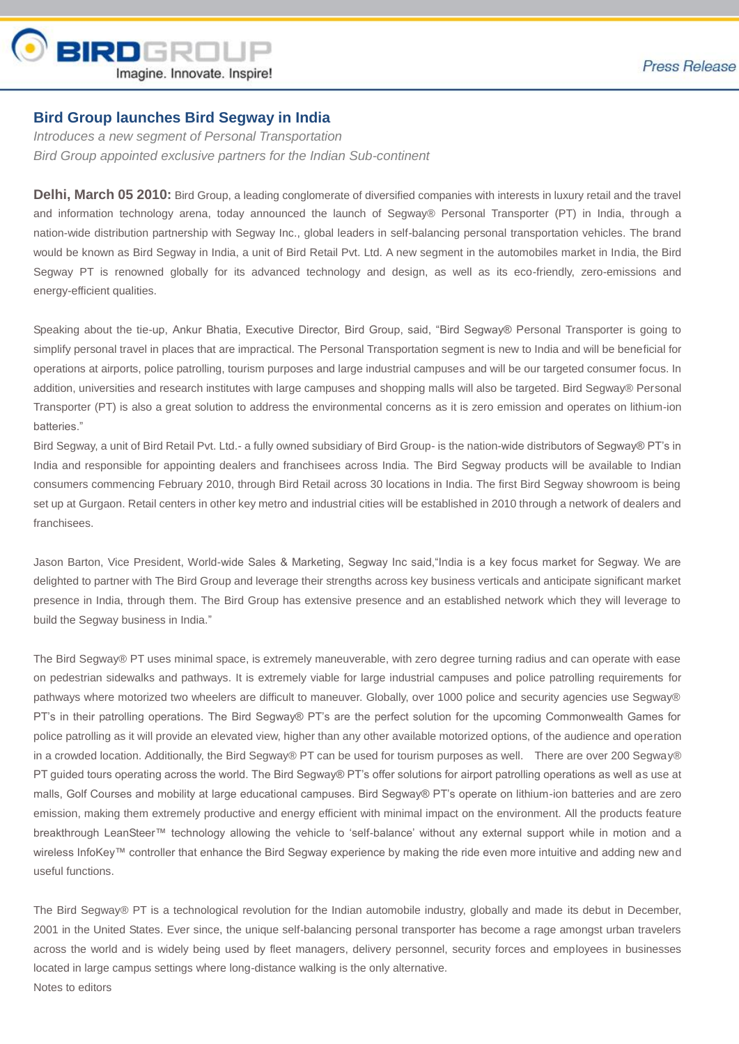

## **Bird Group launches Bird Segway in India**

*Introduces a new segment of Personal Transportation Bird Group appointed exclusive partners for the Indian Sub-continent*

**Delhi, March 05 2010:** Bird Group, a leading conglomerate of diversified companies with interests in luxury retail and the travel and information technology arena, today announced the launch of Segway® Personal Transporter (PT) in India, through a nation-wide distribution partnership with Segway Inc., global leaders in self-balancing personal transportation vehicles. The brand would be known as Bird Segway in India, a unit of Bird Retail Pvt. Ltd. A new segment in the automobiles market in India, the Bird Segway PT is renowned globally for its advanced technology and design, as well as its eco-friendly, zero-emissions and energy-efficient qualities.

Speaking about the tie-up, Ankur Bhatia, Executive Director, Bird Group, said, "Bird Segway® Personal Transporter is going to simplify personal travel in places that are impractical. The Personal Transportation segment is new to India and will be beneficial for operations at airports, police patrolling, tourism purposes and large industrial campuses and will be our targeted consumer focus. In addition, universities and research institutes with large campuses and shopping malls will also be targeted. Bird Segway® Personal Transporter (PT) is also a great solution to address the environmental concerns as it is zero emission and operates on lithium-ion batteries."

Bird Segway, a unit of Bird Retail Pvt. Ltd.- a fully owned subsidiary of Bird Group- is the nation-wide distributors of Segway® PT's in India and responsible for appointing dealers and franchisees across India. The Bird Segway products will be available to Indian consumers commencing February 2010, through Bird Retail across 30 locations in India. The first Bird Segway showroom is being set up at Gurgaon. Retail centers in other key metro and industrial cities will be established in 2010 through a network of dealers and franchisees.

Jason Barton, Vice President, World-wide Sales & Marketing, Segway Inc said,"India is a key focus market for Segway. We are delighted to partner with The Bird Group and leverage their strengths across key business verticals and anticipate significant market presence in India, through them. The Bird Group has extensive presence and an established network which they will leverage to build the Segway business in India."

The Bird Segway® PT uses minimal space, is extremely maneuverable, with zero degree turning radius and can operate with ease on pedestrian sidewalks and pathways. It is extremely viable for large industrial campuses and police patrolling requirements for pathways where motorized two wheelers are difficult to maneuver. Globally, over 1000 police and security agencies use Segway® PT's in their patrolling operations. The Bird Segway® PT's are the perfect solution for the upcoming Commonwealth Games for police patrolling as it will provide an elevated view, higher than any other available motorized options, of the audience and operation in a crowded location. Additionally, the Bird Segway® PT can be used for tourism purposes as well. There are over 200 Segway® PT guided tours operating across the world. The Bird Segway® PT's offer solutions for airport patrolling operations as well as use at malls, Golf Courses and mobility at large educational campuses. Bird Segway® PT's operate on lithium-ion batteries and are zero emission, making them extremely productive and energy efficient with minimal impact on the environment. All the products feature breakthrough LeanSteer™ technology allowing the vehicle to 'self-balance' without any external support while in motion and a wireless InfoKey™ controller that enhance the Bird Segway experience by making the ride even more intuitive and adding new and useful functions.

The Bird Segway® PT is a technological revolution for the Indian automobile industry, globally and made its debut in December, 2001 in the United States. Ever since, the unique self-balancing personal transporter has become a rage amongst urban travelers across the world and is widely being used by fleet managers, delivery personnel, security forces and employees in businesses located in large campus settings where long-distance walking is the only alternative. Notes to editors